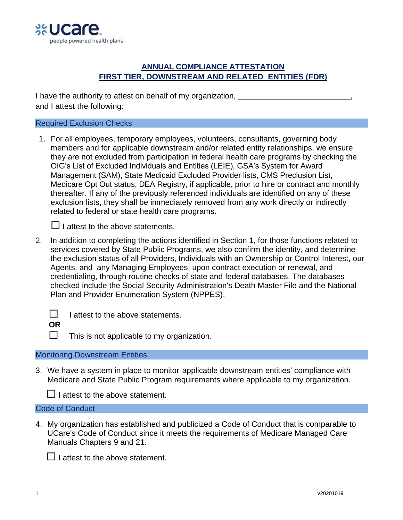

## **ANNUAL COMPLIANCE ATTESTATION FIRST TIER, DOWNSTREAM AND RELATED ENTITIES (FDR)**

I have the authority to attest on behalf of my organization, \_\_\_\_\_\_\_\_\_\_\_\_\_\_\_\_\_\_\_ and I attest the following:

#### Required Exclusion Checks

1. For all employees, temporary employees, volunteers, consultants, governing body members and for applicable downstream and/or related entity relationships, we ensure they are not excluded from participation in federal health care programs by checking the OIG's List of Excluded Individuals and Entities (LEIE), GSA's System for Award Management (SAM), State Medicaid Excluded Provider lists, CMS Preclusion List, Medicare Opt Out status, DEA Registry, if applicable, prior to hire or contract and monthly thereafter. If any of the previously referenced individuals are identified on any of these exclusion lists, they shall be immediately removed from any work directly or indirectly related to federal or state health care programs.



 $\Box$  I attest to the above statements.

2. In addition to completing the actions identified in Section 1, for those functions related to services covered by State Public Programs, we also confirm the identity, and determine the exclusion status of all Providers, Individuals with an Ownership or Control Interest, our Agents, and any Managing Employees, upon contract execution or renewal, and credentialing, through routine checks of state and federal databases. The databases checked include the Social Security Administration's Death Master File and the National Plan and Provider Enumeration System (NPPES).

I attest to the above statements.

 **OR**

 $\Box$  This is not applicable to my organization.

## Monitoring Downstream Entities

3. We have a system in place to monitor applicable downstream entities' compliance with Medicare and State Public Program requirements where applicable to my organization.

 $\Box$  I attest to the above statement.

# Code of Conduct

4. My organization has established and publicized a Code of Conduct that is comparable to UCare's Code of Conduct since it meets the requirements of Medicare Managed Care Manuals Chapters 9 and 21.

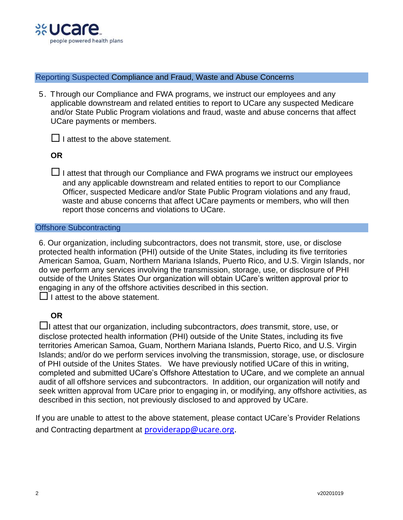

Reporting Suspected Compliance and Fraud, Waste and Abuse Concerns

5. Through our Compliance and FWA programs, we instruct our employees and any applicable downstream and related entities to report to UCare any suspected Medicare and/or State Public Program violations and fraud, waste and abuse concerns that affect UCare payments or members.

 $\Box$  I attest to the above statement.

### **OR**

 $\Box$  I attest that through our Compliance and FWA programs we instruct our employees and any applicable downstream and related entities to report to our Compliance Officer, suspected Medicare and/or State Public Program violations and any fraud, waste and abuse concerns that affect UCare payments or members, who will then report those concerns and violations to UCare.

#### Offshore Subcontracting

6. Our organization, including subcontractors, does not transmit, store, use, or disclose protected health information (PHI) outside of the Unite States, including its five territories American Samoa, Guam, Northern Mariana Islands, Puerto Rico, and U.S. Virgin Islands, nor do we perform any services involving the transmission, storage, use, or disclosure of PHI outside of the Unites States Our organization will obtain UCare's written approval prior to engaging in any of the offshore activities described in this section.

 $\Box$  I attest to the above statement.

## **OR**

I attest that our organization, including subcontractors, *does* transmit, store, use, or disclose protected health information (PHI) outside of the Unite States, including its five territories American Samoa, Guam, Northern Mariana Islands, Puerto Rico, and U.S. Virgin Islands; and/or do we perform services involving the transmission, storage, use, or disclosure of PHI outside of the Unites States. We have previously notified UCare of this in writing, completed and submitted UCare's Offshore Attestation to UCare, and we complete an annual audit of all offshore services and subcontractors. In addition, our organization will notify and seek written approval from UCare prior to engaging in, or modifying, any offshore activities, as described in this section, not previously disclosed to and approved by UCare.

If you are unable to attest to the above statement, please contact UCare's Provider Relations and Contracting department at [providerapp@ucare.org.](mailto:providerapp@ucare.org)